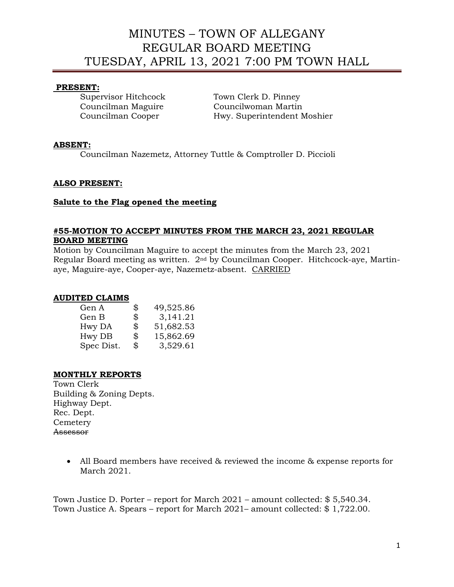# MINUTES – TOWN OF ALLEGANY REGULAR BOARD MEETING TUESDAY, APRIL 13, 2021 7:00 PM TOWN HALL

## **PRESENT:**

Supervisor Hitchcock Town Clerk D. Pinney Councilman Maguire Councilwoman Martin Councilman Cooper Hwy. Superintendent Moshier

## **ABSENT:**

Councilman Nazemetz, Attorney Tuttle & Comptroller D. Piccioli

### **ALSO PRESENT:**

#### **Salute to the Flag opened the meeting**

#### **#55-MOTION TO ACCEPT MINUTES FROM THE MARCH 23, 2021 REGULAR BOARD MEETING**

Motion by Councilman Maguire to accept the minutes from the March 23, 2021 Regular Board meeting as written. 2nd by Councilman Cooper. Hitchcock-aye, Martinaye, Maguire-aye, Cooper-aye, Nazemetz-absent. CARRIED

#### **AUDITED CLAIMS**

| Gen A      | \$<br>49,525.86 |
|------------|-----------------|
| Gen B      | \$<br>3,141.21  |
| Hwy DA     | \$<br>51,682.53 |
| Hwy DB     | \$<br>15,862.69 |
| Spec Dist. | \$<br>3,529.61  |

## **MONTHLY REPORTS**

Town Clerk Building & Zoning Depts. Highway Dept. Rec. Dept. **Cemetery** Assessor

> • All Board members have received & reviewed the income & expense reports for March 2021.

Town Justice D. Porter – report for March 2021 – amount collected: \$ 5,540.34. Town Justice A. Spears – report for March 2021– amount collected: \$ 1,722.00.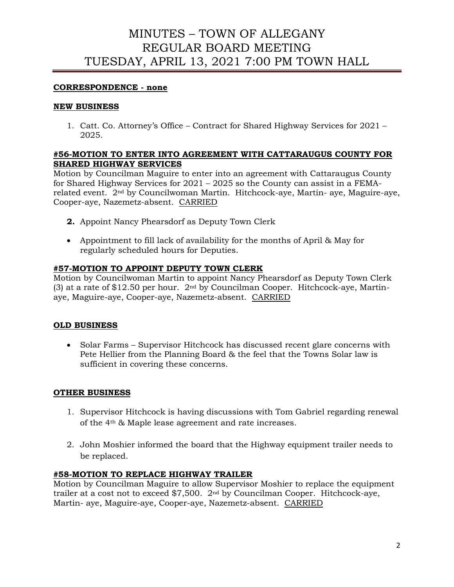# MINUTES – TOWN OF ALLEGANY REGULAR BOARD MEETING TUESDAY, APRIL 13, 2021 7:00 PM TOWN HALL

## **CORRESPONDENCE - none**

### **NEW BUSINESS**

1. Catt. Co. Attorney's Office – Contract for Shared Highway Services for 2021 – 2025.

## **#56-MOTION TO ENTER INTO AGREEMENT WITH CATTARAUGUS COUNTY FOR SHARED HIGHWAY SERVICES**

Motion by Councilman Maguire to enter into an agreement with Cattaraugus County for Shared Highway Services for 2021 – 2025 so the County can assist in a FEMArelated event. 2nd by Councilwoman Martin. Hitchcock-aye, Martin- aye, Maguire-aye, Cooper-aye, Nazemetz-absent. CARRIED

- **2.** Appoint Nancy Phearsdorf as Deputy Town Clerk
- Appointment to fill lack of availability for the months of April & May for regularly scheduled hours for Deputies.

# **#57-MOTION TO APPOINT DEPUTY TOWN CLERK**

Motion by Councilwoman Martin to appoint Nancy Phearsdorf as Deputy Town Clerk (3) at a rate of \$12.50 per hour.  $2<sup>nd</sup>$  by Councilman Cooper. Hitchcock-aye, Martinaye, Maguire-aye, Cooper-aye, Nazemetz-absent. CARRIED

## **OLD BUSINESS**

• Solar Farms – Supervisor Hitchcock has discussed recent glare concerns with Pete Hellier from the Planning Board & the feel that the Towns Solar law is sufficient in covering these concerns.

## **OTHER BUSINESS**

- 1. Supervisor Hitchcock is having discussions with Tom Gabriel regarding renewal of the 4th & Maple lease agreement and rate increases.
- 2. John Moshier informed the board that the Highway equipment trailer needs to be replaced.

#### **#58-MOTION TO REPLACE HIGHWAY TRAILER**

Motion by Councilman Maguire to allow Supervisor Moshier to replace the equipment trailer at a cost not to exceed \$7,500. 2nd by Councilman Cooper. Hitchcock-aye, Martin- aye, Maguire-aye, Cooper-aye, Nazemetz-absent. CARRIED